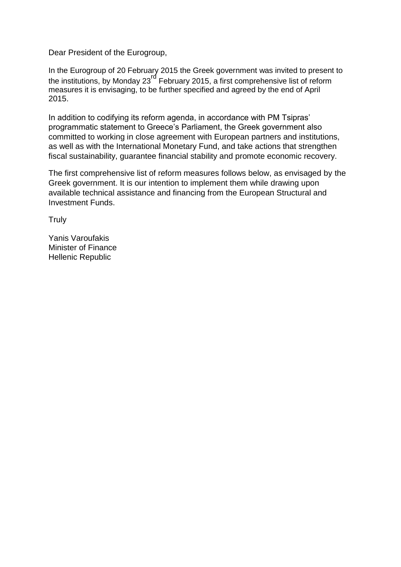Dear President of the Eurogroup,

In the Eurogroup of 20 February 2015 the Greek government was invited to present to the institutions, by Monday  $23^{rd}$  February 2015, a first comprehensive list of reform measures it is envisaging, to be further specified and agreed by the end of April 2015.

In addition to codifying its reform agenda, in accordance with PM Tsipras' programmatic statement to Greece's Parliament, the Greek government also committed to working in close agreement with European partners and institutions, as well as with the International Monetary Fund, and take actions that strengthen fiscal sustainability, guarantee financial stability and promote economic recovery.

The first comprehensive list of reform measures follows below, as envisaged by the Greek government. It is our intention to implement them while drawing upon available technical assistance and financing from the European Structural and Investment Funds.

**Truly** 

Yanis Varoufakis Minister of Finance Hellenic Republic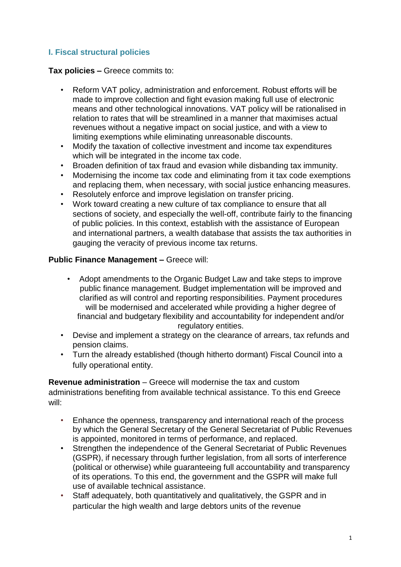# **I. Fiscal structural policies**

#### **Tax policies –** Greece commits to:

- Reform VAT policy, administration and enforcement. Robust efforts will be made to improve collection and fight evasion making full use of electronic means and other technological innovations. VAT policy will be rationalised in relation to rates that will be streamlined in a manner that maximises actual revenues without a negative impact on social justice, and with a view to limiting exemptions while eliminating unreasonable discounts.
- Modify the taxation of collective investment and income tax expenditures which will be integrated in the income tax code.
- Broaden definition of tax fraud and evasion while disbanding tax immunity.
- Modernising the income tax code and eliminating from it tax code exemptions and replacing them, when necessary, with social justice enhancing measures.
- Resolutely enforce and improve legislation on transfer pricing.
- Work toward creating a new culture of tax compliance to ensure that all sections of society, and especially the well-off, contribute fairly to the financing of public policies. In this context, establish with the assistance of European and international partners, a wealth database that assists the tax authorities in gauging the veracity of previous income tax returns.

#### **Public Finance Management –** Greece will:

- Adopt amendments to the Organic Budget Law and take steps to improve public finance management. Budget implementation will be improved and clarified as will control and reporting responsibilities. Payment procedures will be modernised and accelerated while providing a higher degree of financial and budgetary flexibility and accountability for independent and/or regulatory entities.
- Devise and implement a strategy on the clearance of arrears, tax refunds and pension claims.
- Turn the already established (though hitherto dormant) Fiscal Council into a fully operational entity.

**Revenue administration** – Greece will modernise the tax and custom administrations benefiting from available technical assistance. To this end Greece will:

- Enhance the openness, transparency and international reach of the process by which the General Secretary of the General Secretariat of Public Revenues is appointed, monitored in terms of performance, and replaced.
- Strengthen the independence of the General Secretariat of Public Revenues (GSPR), if necessary through further legislation, from all sorts of interference (political or otherwise) while guaranteeing full accountability and transparency of its operations. To this end, the government and the GSPR will make full use of available technical assistance.
- Staff adequately, both quantitatively and qualitatively, the GSPR and in particular the high wealth and large debtors units of the revenue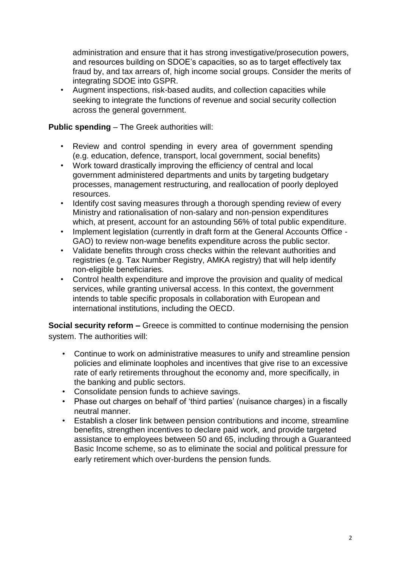administration and ensure that it has strong investigative/prosecution powers, and resources building on SDOE's capacities, so as to target effectively tax fraud by, and tax arrears of, high income social groups. Consider the merits of integrating SDOE into GSPR.

• Augment inspections, risk-based audits, and collection capacities while seeking to integrate the functions of revenue and social security collection across the general government.

### **Public spending** – The Greek authorities will:

- Review and control spending in every area of government spending (e.g. education, defence, transport, local government, social benefits)
- Work toward drastically improving the efficiency of central and local government administered departments and units by targeting budgetary processes, management restructuring, and reallocation of poorly deployed resources.
- Identify cost saving measures through a thorough spending review of every Ministry and rationalisation of non-salary and non-pension expenditures which, at present, account for an astounding 56% of total public expenditure.
- Implement legislation (currently in draft form at the General Accounts Office GAO) to review non-wage benefits expenditure across the public sector.
- Validate benefits through cross checks within the relevant authorities and registries (e.g. Tax Number Registry, AMKA registry) that will help identify non-eligible beneficiaries.
- Control health expenditure and improve the provision and quality of medical services, while granting universal access. In this context, the government intends to table specific proposals in collaboration with European and international institutions, including the OECD.

**Social security reform –** Greece is committed to continue modernising the pension system. The authorities will:

- Continue to work on administrative measures to unify and streamline pension policies and eliminate loopholes and incentives that give rise to an excessive rate of early retirements throughout the economy and, more specifically, in the banking and public sectors.
- Consolidate pension funds to achieve savings.
- Phase out charges on behalf of 'third parties' (nuisance charges) in a fiscally neutral manner.
- Establish a closer link between pension contributions and income, streamline benefits, strengthen incentives to declare paid work, and provide targeted assistance to employees between 50 and 65, including through a Guaranteed Basic Income scheme, so as to eliminate the social and political pressure for early retirement which over-burdens the pension funds.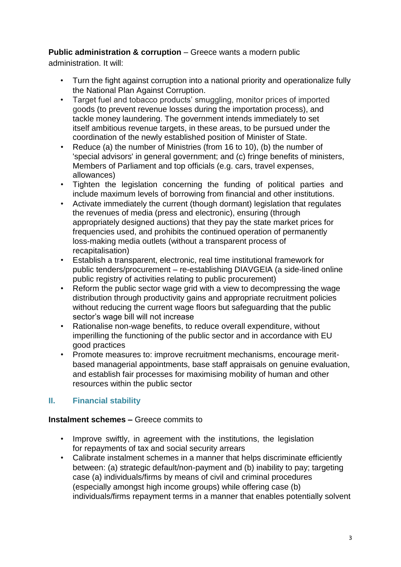# **Public administration & corruption** – Greece wants a modern public

administration. It will:

- Turn the fight against corruption into a national priority and operationalize fully the National Plan Against Corruption.
- Target fuel and tobacco products' smuggling, monitor prices of imported goods (to prevent revenue losses during the importation process), and tackle money laundering. The government intends immediately to set itself ambitious revenue targets, in these areas, to be pursued under the coordination of the newly established position of Minister of State.
- Reduce (a) the number of Ministries (from 16 to 10), (b) the number of 'special advisors' in general government; and (c) fringe benefits of ministers, Members of Parliament and top officials (e.g. cars, travel expenses, allowances)
- Tighten the legislation concerning the funding of political parties and include maximum levels of borrowing from financial and other institutions.
- Activate immediately the current (though dormant) legislation that regulates the revenues of media (press and electronic), ensuring (through appropriately designed auctions) that they pay the state market prices for frequencies used, and prohibits the continued operation of permanently loss-making media outlets (without a transparent process of recapitalisation)
- Establish a transparent, electronic, real time institutional framework for public tenders/procurement – re-establishing DIAVGEIA (a side-lined online public registry of activities relating to public procurement)
- Reform the public sector wage grid with a view to decompressing the wage distribution through productivity gains and appropriate recruitment policies without reducing the current wage floors but safeguarding that the public sector's wage bill will not increase
- Rationalise non-wage benefits, to reduce overall expenditure, without imperilling the functioning of the public sector and in accordance with EU good practices
- Promote measures to: improve recruitment mechanisms, encourage meritbased managerial appointments, base staff appraisals on genuine evaluation, and establish fair processes for maximising mobility of human and other resources within the public sector

### **II. Financial stability**

### **Instalment schemes –** Greece commits to

- Improve swiftly, in agreement with the institutions, the legislation for repayments of tax and social security arrears
- Calibrate instalment schemes in a manner that helps discriminate efficiently between: (a) strategic default/non-payment and (b) inability to pay; targeting case (a) individuals/firms by means of civil and criminal procedures (especially amongst high income groups) while offering case (b) individuals/firms repayment terms in a manner that enables potentially solvent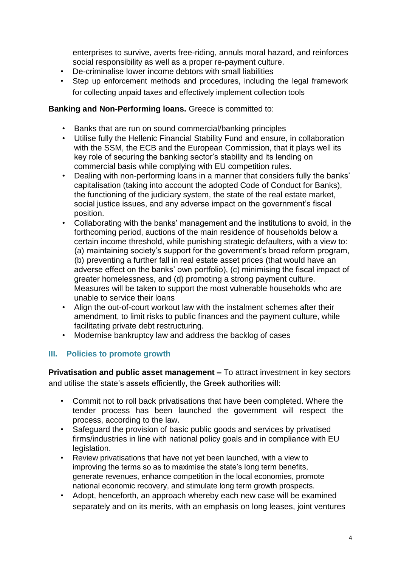enterprises to survive, averts free-riding, annuls moral hazard, and reinforces social responsibility as well as a proper re-payment culture.

- De-criminalise lower income debtors with small liabilities
- Step up enforcement methods and procedures, including the legal framework for collecting unpaid taxes and effectively implement collection tools

#### **Banking and Non-Performing loans.** Greece is committed to:

- Banks that are run on sound commercial/banking principles
- Utilise fully the Hellenic Financial Stability Fund and ensure, in collaboration with the SSM, the ECB and the European Commission, that it plays well its key role of securing the banking sector's stability and its lending on commercial basis while complying with EU competition rules.
- Dealing with non-performing loans in a manner that considers fully the banks' capitalisation (taking into account the adopted Code of Conduct for Banks), the functioning of the judiciary system, the state of the real estate market, social justice issues, and any adverse impact on the government's fiscal position.
- Collaborating with the banks' management and the institutions to avoid, in the forthcoming period, auctions of the main residence of households below a certain income threshold, while punishing strategic defaulters, with a view to: (a) maintaining society's support for the government's broad reform program, (b) preventing a further fall in real estate asset prices (that would have an adverse effect on the banks' own portfolio), (c) minimising the fiscal impact of greater homelessness, and (d) promoting a strong payment culture. Measures will be taken to support the most vulnerable households who are unable to service their loans
- Align the out-of-court workout law with the instalment schemes after their amendment, to limit risks to public finances and the payment culture, while facilitating private debt restructuring.
- Modernise bankruptcy law and address the backlog of cases

### **III. Policies to promote growth**

**Privatisation and public asset management –** To attract investment in key sectors and utilise the state's assets efficiently, the Greek authorities will:

- Commit not to roll back privatisations that have been completed. Where the tender process has been launched the government will respect the process, according to the law.
- Safeguard the provision of basic public goods and services by privatised firms/industries in line with national policy goals and in compliance with EU legislation.
- Review privatisations that have not yet been launched, with a view to improving the terms so as to maximise the state's long term benefits, generate revenues, enhance competition in the local economies, promote national economic recovery, and stimulate long term growth prospects.
- Adopt, henceforth, an approach whereby each new case will be examined separately and on its merits, with an emphasis on long leases, joint ventures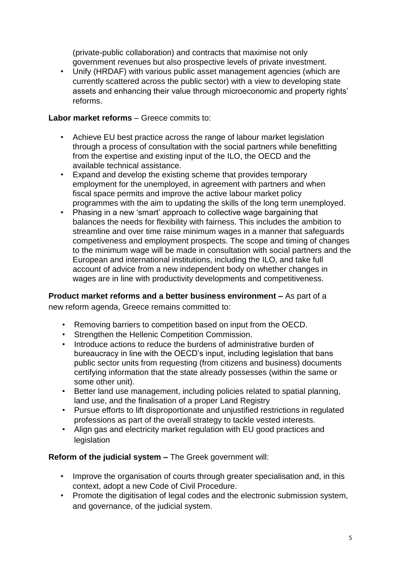(private-public collaboration) and contracts that maximise not only government revenues but also prospective levels of private investment.

• Unify (HRDAF) with various public asset management agencies (which are currently scattered across the public sector) with a view to developing state assets and enhancing their value through microeconomic and property rights' reforms.

## **Labor market reforms** – Greece commits to:

- Achieve EU best practice across the range of labour market legislation through a process of consultation with the social partners while benefitting from the expertise and existing input of the ILO, the OECD and the available technical assistance.
- Expand and develop the existing scheme that provides temporary employment for the unemployed, in agreement with partners and when fiscal space permits and improve the active labour market policy programmes with the aim to updating the skills of the long term unemployed.
- Phasing in a new 'smart' approach to collective wage bargaining that balances the needs for flexibility with fairness. This includes the ambition to streamline and over time raise minimum wages in a manner that safeguards competiveness and employment prospects. The scope and timing of changes to the minimum wage will be made in consultation with social partners and the European and international institutions, including the ILO, and take full account of advice from a new independent body on whether changes in wages are in line with productivity developments and competitiveness.

**Product market reforms and a better business environment –** As part of a new reform agenda, Greece remains committed to:

- Removing barriers to competition based on input from the OECD.
- Strengthen the Hellenic Competition Commission.
- Introduce actions to reduce the burdens of administrative burden of bureaucracy in line with the OECD's input, including legislation that bans public sector units from requesting (from citizens and business) documents certifying information that the state already possesses (within the same or some other unit).
- Better land use management, including policies related to spatial planning, land use, and the finalisation of a proper Land Registry
- Pursue efforts to lift disproportionate and unjustified restrictions in regulated professions as part of the overall strategy to tackle vested interests.
- Align gas and electricity market regulation with EU good practices and legislation

### **Reform of the judicial system –** The Greek government will:

- Improve the organisation of courts through greater specialisation and, in this context, adopt a new Code of Civil Procedure.
- Promote the digitisation of legal codes and the electronic submission system, and governance, of the judicial system.